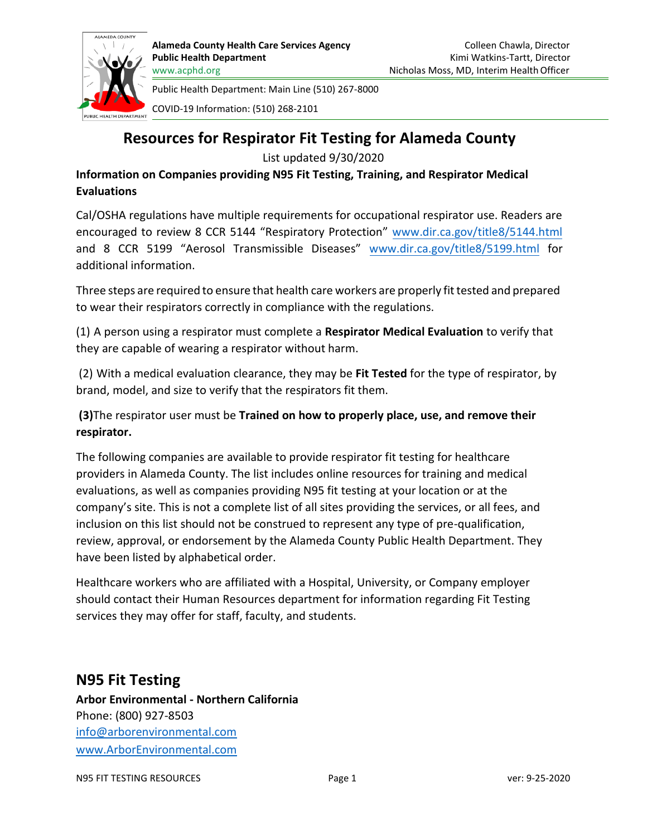

COVID-19 Information: (510) 268-2101

# **Resources for Respirator Fit Testing for Alameda County**

List updated 9/30/2020

**Information on Companies providing N95 Fit Testing, Training, and Respirator Medical Evaluations** 

Cal/OSHA regulations have multiple requirements for occupational respirator use. Readers are encouraged to review 8 CCR 5144 "Respiratory Protection" [www.dir.ca.gov/title8/5144.html](https://www.dir.ca.gov/title8/5144.html)  and 8 CCR 5199 "Aerosol Transmissible Diseases" [www.dir.ca.gov/title8/5199.html](https://www.dir.ca.gov/title8/5199.html) for additional information.

Three steps are required to ensure that health care workers are properly fit tested and prepared to wear their respirators correctly in compliance with the regulations.

(1) A person using a respirator must complete a **Respirator Medical Evaluation** to verify that they are capable of wearing a respirator without harm.

(2) With a medical evaluation clearance, they may be **Fit Tested** for the type of respirator, by brand, model, and size to verify that the respirators fit them.

**(3)**The respirator user must be **Trained on how to properly place, use, and remove their respirator.**

The following companies are available to provide respirator fit testing for healthcare providers in Alameda County. The list includes online resources for training and medical evaluations, as well as companies providing N95 fit testing at your location or at the company's site. This is not a complete list of all sites providing the services, or all fees, and inclusion on this list should not be construed to represent any type of pre-qualification, review, approval, or endorsement by the Alameda County Public Health Department. They have been listed by alphabetical order.

Healthcare workers who are affiliated with a Hospital, University, or Company employer should contact their Human Resources department for information regarding Fit Testing services they may offer for staff, faculty, and students.

# **N95 Fit Testing**

**Arbor Environmental - Northern California** Phone: (800) 927-8503 [info@arborenvironmental.com](mailto:info@arborenvironmental.com) [www.ArborEnvironmental.com](http://www.arborenvironmental.com/)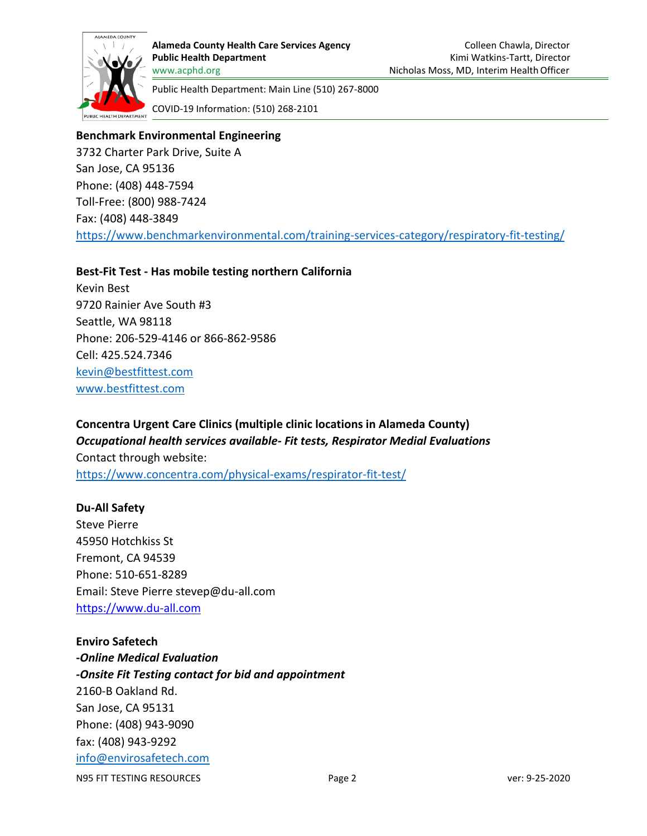

**Alameda County Health Care Services Agency Public Health Department** [www.acphd.org](http://www.acphd.org/)

Public Health Department: Main Line (510) 267-8000

COVID-19 Information: (510) 268-2101

## **Benchmark Environmental Engineering**

3732 Charter Park Drive, Suite A San Jose, CA 95136 Phone: (408) 448-7594 Toll-Free: (800) 988-7424 Fax: (408) 448-3849 <https://www.benchmarkenvironmental.com/training-services-category/respiratory-fit-testing/>

#### **Best-Fit Test - Has mobile testing northern California**

Kevin Best 9720 Rainier Ave South #3 Seattle, WA 98118 Phone: 206-529-4146 or 866-862-9586 Cell: 425.524.7346 [kevin@bestfittest.com](mailto:kevin@bestfittest.com) [www.bestfittest.com](http://www.bestfittest.com/)

## **Concentra Urgent Care Clinics (multiple clinic locations in Alameda County)**  *Occupational health services available- Fit tests, Respirator Medial Evaluations*  Contact through website:

<https://www.concentra.com/physical-exams/respirator-fit-test/>

#### **Du-All Safety**

Steve Pierre 45950 Hotchkiss St Fremont, CA 94539 Phone: 510-651-8289 Email: Steve Pierre stevep@du-all.com [https://www.du-all.com](https://www.du-all.com/)

# N95 FIT TESTING RESOURCES THE PAGE 2 Page 2 ver: 9-25-2020 **Enviro Safetech -***Online Medical Evaluation -Onsite Fit Testing contact for bid and appointment* 2160-B Oakland Rd. San Jose, CA 95131 Phone: (408) 943-9090 fax: (408) 943-9292 [info@envirosafetech.com](mailto:info@envirosafetech.com)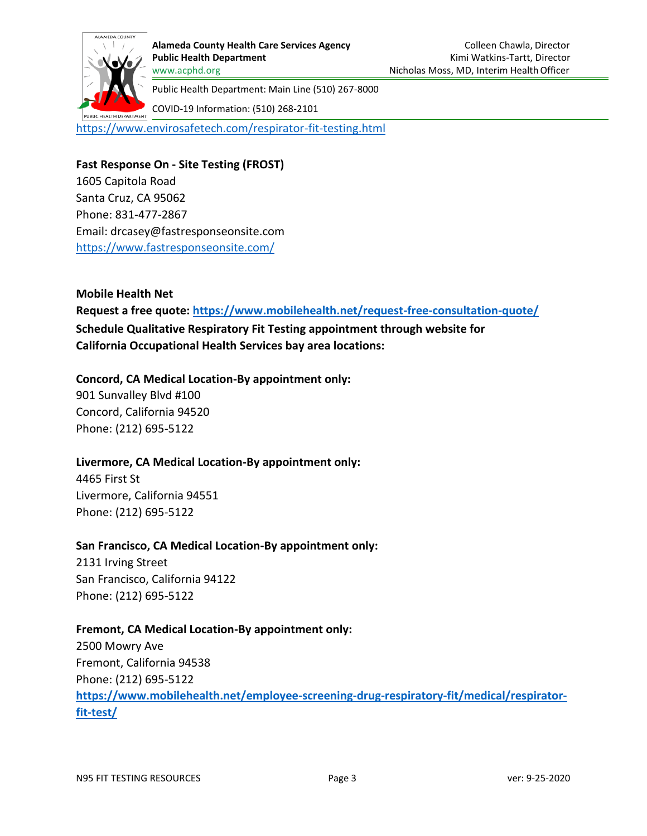

COVID-19 Information: (510) 268-2101

<https://www.envirosafetech.com/respirator-fit-testing.html>

**Fast Response On - Site Testing (FROST)**

1605 Capitola Road Santa Cruz, CA 95062 Phone: 831-477-2867 Email: [drcasey@fastresponseonsite.com](mailto:drcasey@fastresponseonsite.com) <https://www.fastresponseonsite.com/>

**Mobile Health Net Request a free quote:<https://www.mobilehealth.net/request-free-consultation-quote/> Schedule Qualitative Respiratory Fit Testing appointment through website for California Occupational Health Services bay area locations:**

#### **Concord, CA Medical Location-By appointment only:**

901 Sunvalley Blvd #100 Concord, California 94520 Phone: (212) 695-5122

#### **Livermore, CA Medical Location-By appointment only:**

4465 First St Livermore, California 94551 Phone: (212) 695-5122

#### **San Francisco, CA Medical Location-By appointment only:**

2131 Irving Street San Francisco, California 94122 Phone: (212) 695-5122

### **Fremont, CA Medical Location-By appointment only:**

2500 Mowry Ave Fremont, California 94538 Phone: (212) 695-5122 **[https://www.mobilehealth.net/employee-screening-drug-respiratory-fit/medical/respirator](https://www.mobilehealth.net/employee-screening-drug-respiratory-fit/medical/respirator-fit-test/)[fit-test/](https://www.mobilehealth.net/employee-screening-drug-respiratory-fit/medical/respirator-fit-test/)**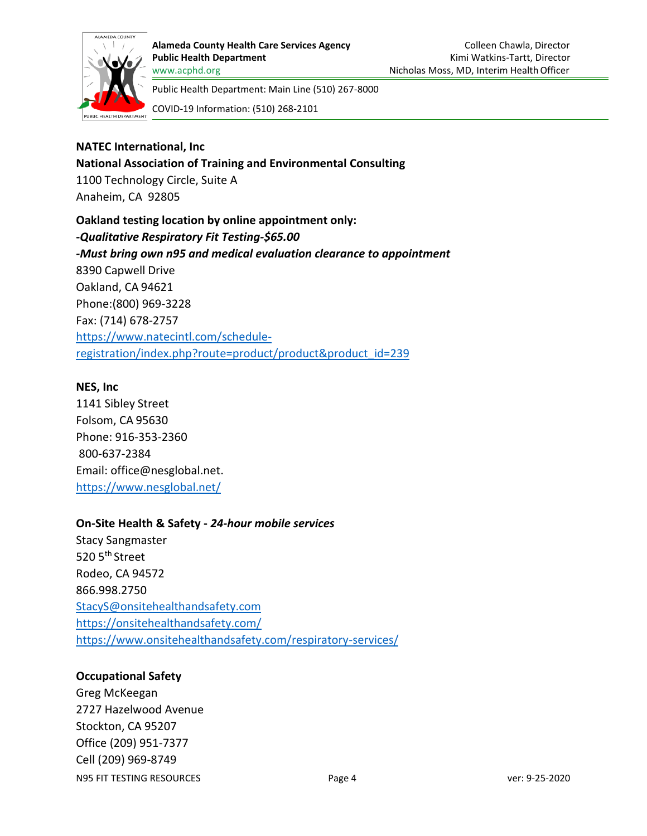

COVID-19 Information: (510) 268-2101

## **NATEC International, Inc**

**National Association of Training and Environmental Consulting** 1100 Technology Circle, Suite A Anaheim, CA 92805

**Oakland testing location by online appointment only: -***Qualitative Respiratory Fit Testing-\$65.00 -Must bring own n95 and medical evaluation clearance to appointment* 8390 Capwell Drive Oakland, CA 94621 Phone:(800) 969-3228 Fax: (714) 678-2757 https:/[/www.natecintl.com/schedule](http://www.natecintl.com/schedule-)registration/index.php?route=product/product&product\_id=239

#### **NES, Inc**

1141 Sibley Street Folsom, CA 95630 Phone: 916-353-2360 800-637-2384 Email: [office@nesglobal.net.](mailto:office@nesglobal.net) <https://www.nesglobal.net/>

#### **On-Site Health & Safety -** *24-hour mobile services*

Stacy Sangmaster 520 5<sup>th</sup> Street Rodeo, CA 94572 866.998.2750 [StacyS@onsitehealthandsafety.com](mailto:StacyS@onsitehealthandsafety.com) <https://onsitehealthandsafety.com/> <https://www.onsitehealthandsafety.com/respiratory-services/>

### **Occupational Safety**

N95 FIT TESTING RESOURCES THE PAGE OF PAGE 4 VERSION PAGE 4 VERSION PAGE 9-25-2020 Greg McKeegan 2727 Hazelwood Avenue Stockton, CA 95207 Office (209) 951-7377 Cell (209) 969-8749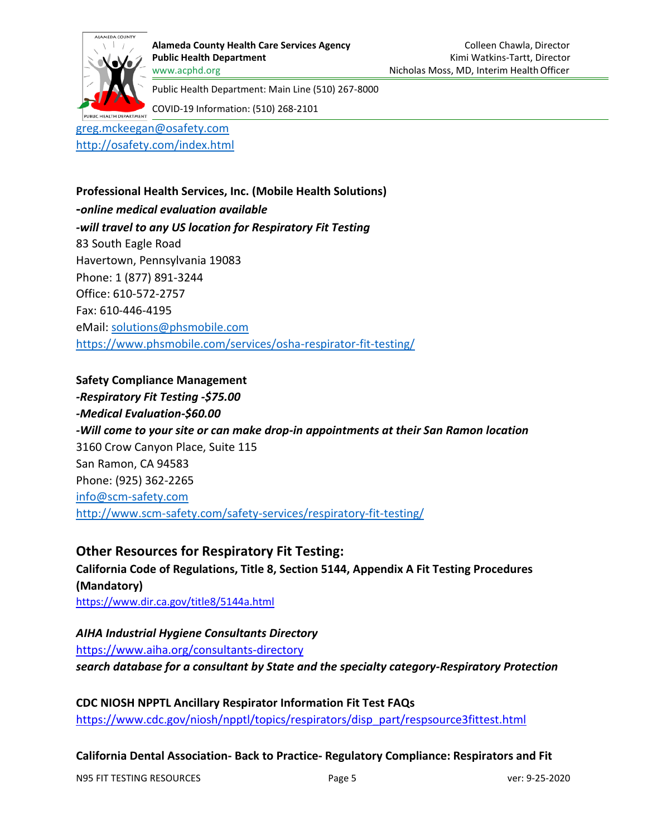

COVID-19 Information: (510) 268-2101

[greg.mckeegan@osafety.com](mailto:greg.mckeegan@osafety.com)

<http://osafety.com/index.html>

**Professional Health Services, Inc. (Mobile Health Solutions) -***online medical evaluation available -will travel to any US location for Respiratory Fit Testing* 83 South Eagle Road Havertown, Pennsylvania 19083 Phone: 1 (877) 891-3244 Office: 610-572-2757 Fax: 610-446-4195 eMail: [solutions@phsmobile.com](mailto:solutions@phsmobile.com) <https://www.phsmobile.com/services/osha-respirator-fit-testing/>

#### **Safety Compliance Management**

*-Respiratory Fit Testing -\$75.00 -Medical Evaluation-\$60.00 -Will come to your site or can make drop-in appointments at their San Ramon location* 3160 Crow Canyon Place, Suite 115 San Ramon, CA 94583 Phone: (925) 362-2265 [info@scm-safety.com](mailto:info@scm-safety.com) <http://www.scm-safety.com/safety-services/respiratory-fit-testing/>

**Other Resources for Respiratory Fit Testing: California Code of Regulations, Title 8, Section 5144, Appendix A Fit Testing Procedures (Mandatory)** <https://www.dir.ca.gov/title8/5144a.html>

*AIHA Industrial Hygiene Consultants Directory* <https://www.aiha.org/consultants-directory> *search database for a consultant by State and the specialty category-Respiratory Protection*

**CDC NIOSH NPPTL Ancillary Respirator Information Fit Test FAQs** [https://www.cdc.gov/niosh/npptl/topics/respirators/disp\\_part/respsource3fittest.html](https://www.cdc.gov/niosh/npptl/topics/respirators/disp_part/respsource3fittest.html)

**California Dental Association- Back to Practice- Regulatory Compliance: Respirators and Fit** 

N95 FIT TESTING RESOURCES THE PAGE OF PAGE 5 VERSION PAGE OF PAGE 19-25-2020